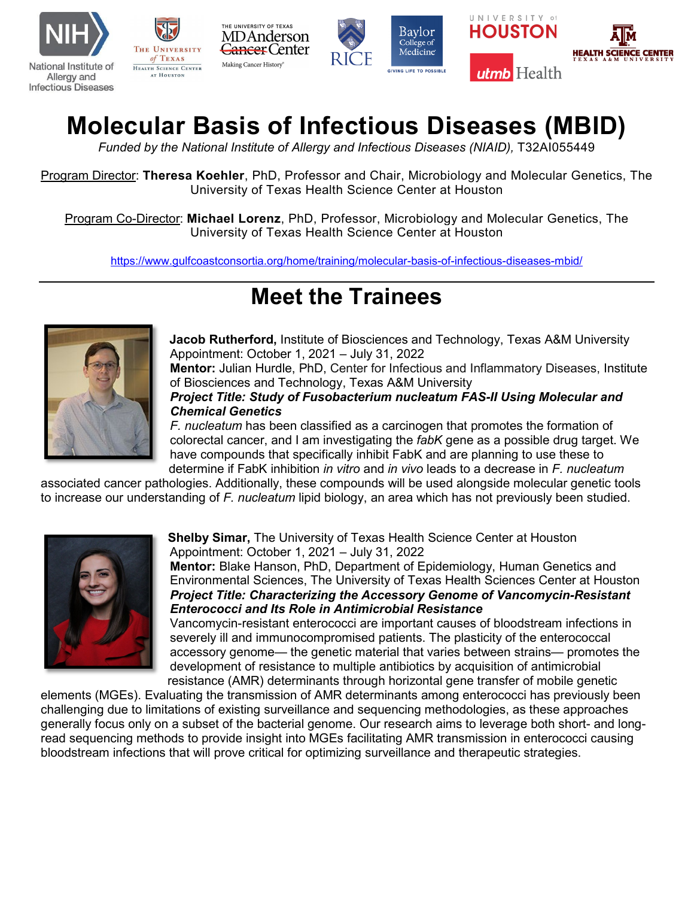

## **Molecular Basis of Infectious Diseases (MBID)**

Funded by the National Institute of Allergy and Infectious Diseases (NIAID), T32AI055449

Program Director: **Theresa Koehler**, PhD, Professor and Chair, Microbiology and Molecular Genetics, The University of Texas Health Science Center at Houston

Program Co-Director: **Michael Lorenz**, PhD, Professor, Microbiology and Molecular Genetics, The University of Texas Health Science Center at Houston

<https://www.gulfcoastconsortia.org/home/training/molecular-basis-of-infectious-diseases-mbid/>

## **Meet the Trainees**



**Jacob Rutherford,** Institute of Biosciences and Technology, Texas A&M University Appointment: October 1, 2021 – July 31, 2022

**Mentor:** Julian Hurdle, PhD, Center for Infectious and Inflammatory Diseases, Institute of Biosciences and Technology, Texas A&M University

*Project Title: Study of Fusobacterium nucleatum FAS-II Using Molecular and Chemical Genetics*

*F. nucleatum* has been classified as a carcinogen that promotes the formation of colorectal cancer, and I am investigating the *fabK* gene as a possible drug target. We have compounds that specifically inhibit FabK and are planning to use these to determine if FabK inhibition *in vitro* and *in vivo* leads to a decrease in *F. nucleatum*

associated cancer pathologies. Additionally, these compounds will be used alongside molecular genetic tools to increase our understanding of *F. nucleatum* lipid biology, an area which has not previously been studied.



**Shelby Simar,** The University of Texas Health Science Center at Houston Appointment: October 1, 2021 – July 31, 2022

**Mentor:** Blake Hanson, PhD, Department of Epidemiology, Human Genetics and Environmental Sciences, The University of Texas Health Sciences Center at Houston *Project Title: Characterizing the Accessory Genome of Vancomycin-Resistant Enterococci and Its Role in Antimicrobial Resistance*

Vancomycin-resistant enterococci are important causes of bloodstream infections in severely ill and immunocompromised patients. The plasticity of the enterococcal accessory genome— the genetic material that varies between strains— promotes the development of resistance to multiple antibiotics by acquisition of antimicrobial resistance (AMR) determinants through horizontal gene transfer of mobile genetic

elements (MGEs). Evaluating the transmission of AMR determinants among enterococci has previously been challenging due to limitations of existing surveillance and sequencing methodologies, as these approaches generally focus only on a subset of the bacterial genome. Our research aims to leverage both short- and longread sequencing methods to provide insight into MGEs facilitating AMR transmission in enterococci causing bloodstream infections that will prove critical for optimizing surveillance and therapeutic strategies.